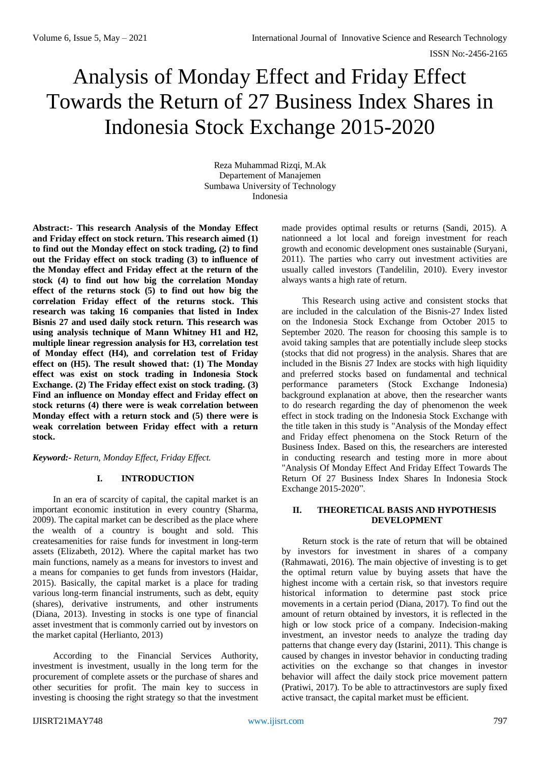# Analysis of Monday Effect and Friday Effect Towards the Return of 27 Business Index Shares in Indonesia Stock Exchange 2015-2020

Reza Muhammad Rizqi, M.Ak Departement of Manajemen Sumbawa University of Technology Indonesia

**Abstract:- This research Analysis of the Monday Effect and Friday effect on stock return. This research aimed (1) to find out the Monday effect on stock trading, (2) to find out the Friday effect on stock trading (3) to influence of the Monday effect and Friday effect at the return of the stock (4) to find out how big the correlation Monday effect of the returns stock (5) to find out how big the correlation Friday effect of the returns stock. This research was taking 16 companies that listed in Index Bisnis 27 and used daily stock return. This research was using analysis technique of Mann Whitney H1 and H2, multiple linear regression analysis for H3, correlation test of Monday effect (H4), and correlation test of Friday effect on (H5). The result showed that: (1) The Monday effect was exist on stock trading in Indonesia Stock Exchange. (2) The Friday effect exist on stock trading. (3) Find an influence on Monday effect and Friday effect on stock returns (4) there were is weak correlation between Monday effect with a return stock and (5) there were is weak correlation between Friday effect with a return stock.**

*Keyword:- Return, Monday Effect, Friday Effect.*

# **I. INTRODUCTION**

In an era of scarcity of capital, the capital market is an important economic institution in every country (Sharma, 2009). The capital market can be described as the place where the wealth of a country is bought and sold. This createsamenities for raise funds for investment in long-term assets (Elizabeth, 2012). Where the capital market has two main functions, namely as a means for investors to invest and a means for companies to get funds from investors (Haidar, 2015). Basically, the capital market is a place for trading various long-term financial instruments, such as debt, equity (shares), derivative instruments, and other instruments (Diana, 2013). Investing in stocks is one type of financial asset investment that is commonly carried out by investors on the market capital (Herlianto, 2013)

According to the Financial Services Authority, investment is investment, usually in the long term for the procurement of complete assets or the purchase of shares and other securities for profit. The main key to success in investing is choosing the right strategy so that the investment

made provides optimal results or returns (Sandi, 2015). A nationneed a lot local and foreign investment for reach growth and economic development ones sustainable (Suryani, 2011). The parties who carry out investment activities are usually called investors (Tandelilin, 2010). Every investor always wants a high rate of return.

This Research using active and consistent stocks that are included in the calculation of the Bisnis-27 Index listed on the Indonesia Stock Exchange from October 2015 to September 2020. The reason for choosing this sample is to avoid taking samples that are potentially include sleep stocks (stocks that did not progress) in the analysis. Shares that are included in the Bisnis 27 Index are stocks with high liquidity and preferred stocks based on fundamental and technical performance parameters (Stock Exchange Indonesia) background explanation at above, then the researcher wants to do research regarding the day of phenomenon the week effect in stock trading on the Indonesia Stock Exchange with the title taken in this study is "Analysis of the Monday effect and Friday effect phenomena on the Stock Return of the Business Index. Based on this, the researchers are interested in conducting research and testing more in more about "Analysis Of Monday Effect And Friday Effect Towards The Return Of 27 Business Index Shares In Indonesia Stock Exchange 2015-2020".

## **II. THEORETICAL BASIS AND HYPOTHESIS DEVELOPMENT**

Return stock is the rate of return that will be obtained by investors for investment in shares of a company (Rahmawati, 2016). The main objective of investing is to get the optimal return value by buying assets that have the highest income with a certain risk, so that investors require historical information to determine past stock price movements in a certain period (Diana, 2017). To find out the amount of return obtained by investors, it is reflected in the high or low stock price of a company. Indecision-making investment, an investor needs to analyze the trading day patterns that change every day (Istarini, 2011). This change is caused by changes in investor behavior in conducting trading activities on the exchange so that changes in investor behavior will affect the daily stock price movement pattern (Pratiwi, 2017). To be able to attractinvestors are suply fixed active transact, the capital market must be efficient.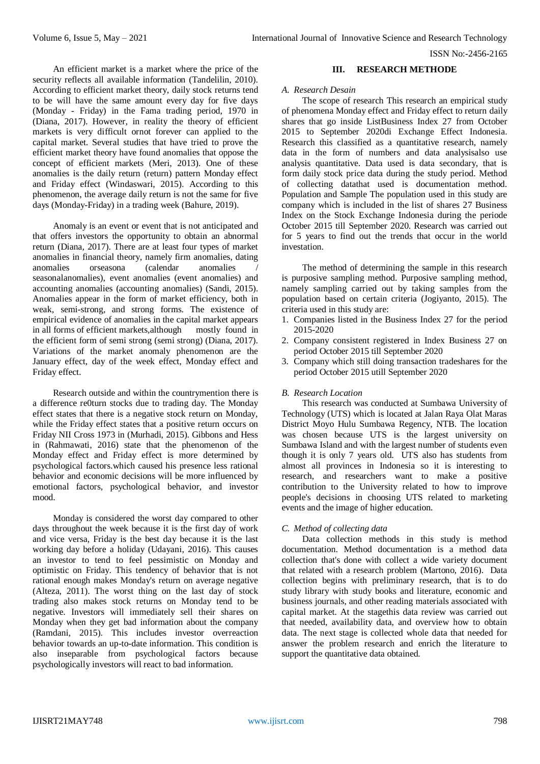ISSN No:-2456-2165

An efficient market is a market where the price of the security reflects all available information (Tandelilin, 2010). According to efficient market theory, daily stock returns tend to be will have the same amount every day for five days (Monday - Friday) in the Fama trading period, 1970 in (Diana, 2017). However, in reality the theory of efficient markets is very difficult ornot forever can applied to the capital market. Several studies that have tried to prove the efficient market theory have found anomalies that oppose the concept of efficient markets (Meri, 2013). One of these anomalies is the daily return (return) pattern Monday effect and Friday effect (Windaswari, 2015). According to this phenomenon, the average daily return is not the same for five days (Monday-Friday) in a trading week (Bahure, 2019).

Anomaly is an event or event that is not anticipated and that offers investors the opportunity to obtain an abnormal return (Diana, 2017). There are at least four types of market anomalies in financial theory, namely firm anomalies, dating anomalies orseasona (calendar anomalies / seasonalanomalies), event anomalies (event anomalies) and accounting anomalies (accounting anomalies) (Sandi, 2015). Anomalies appear in the form of market efficiency, both in weak, semi-strong, and strong forms. The existence of empirical evidence of anomalies in the capital market appears in all forms of efficient markets,although mostly found in the efficient form of semi strong (semi strong) (Diana, 2017). Variations of the market anomaly phenomenon are the January effect, day of the week effect, Monday effect and Friday effect.

Research outside and within the countrymention there is a difference re0turn stocks due to trading day. The Monday effect states that there is a negative stock return on Monday, while the Friday effect states that a positive return occurs on Friday NII Cross 1973 in (Murhadi, 2015). Gibbons and Hess in (Rahmawati, 2016) state that the phenomenon of the Monday effect and Friday effect is more determined by psychological factors.which caused his presence less rational behavior and economic decisions will be more influenced by emotional factors, psychological behavior, and investor mood.

Monday is considered the worst day compared to other days throughout the week because it is the first day of work and vice versa, Friday is the best day because it is the last working day before a holiday (Udayani, 2016). This causes an investor to tend to feel pessimistic on Monday and optimistic on Friday. This tendency of behavior that is not rational enough makes Monday's return on average negative (Alteza, 2011). The worst thing on the last day of stock trading also makes stock returns on Monday tend to be negative. Investors will immediately sell their shares on Monday when they get bad information about the company (Ramdani, 2015). This includes investor overreaction behavior towards an up-to-date information. This condition is also inseparable from psychological factors because psychologically investors will react to bad information.

#### **III. RESEARCH METHODE**

#### *A. Research Desain*

The scope of research This research an empirical study of phenomena Monday effect and Friday effect to return daily shares that go inside ListBusiness Index 27 from October 2015 to September 2020di Exchange Effect Indonesia. Research this classified as a quantitative research, namely data in the form of numbers and data analysisalso use analysis quantitative. Data used is data secondary, that is form daily stock price data during the study period. Method of collecting datathat used is documentation method. Population and Sample The population used in this study are company which is included in the list of shares 27 Business Index on the Stock Exchange Indonesia during the periode October 2015 till September 2020. Research was carried out for 5 years to find out the trends that occur in the world investation.

The method of determining the sample in this research is purposive sampling method. Purposive sampling method, namely sampling carried out by taking samples from the population based on certain criteria (Jogiyanto, 2015). The criteria used in this study are:

- 1. Companies listed in the Business Index 27 for the period 2015-2020
- 2. Company consistent registered in Index Business 27 on period October 2015 till September 2020
- 3. Company which still doing transaction tradeshares for the period October 2015 utill September 2020

### *B. Research Location*

This research was conducted at Sumbawa University of Technology (UTS) which is located at Jalan Raya Olat Maras District Moyo Hulu Sumbawa Regency, NTB. The location was chosen because UTS is the largest university on Sumbawa Island and with the largest number of students even though it is only 7 years old. UTS also has students from almost all provinces in Indonesia so it is interesting to research, and researchers want to make a positive contribution to the University related to how to improve people's decisions in choosing UTS related to marketing events and the image of higher education.

#### *C. Method of collecting data*

Data collection methods in this study is method documentation. Method documentation is a method data collection that's done with collect a wide variety document that related with a research problem (Martono, 2016). Data collection begins with preliminary research, that is to do study library with study books and literature, economic and business journals, and other reading materials associated with capital market. At the stagethis data review was carried out that needed, availability data, and overview how to obtain data. The next stage is collected whole data that needed for answer the problem research and enrich the literature to support the quantitative data obtained.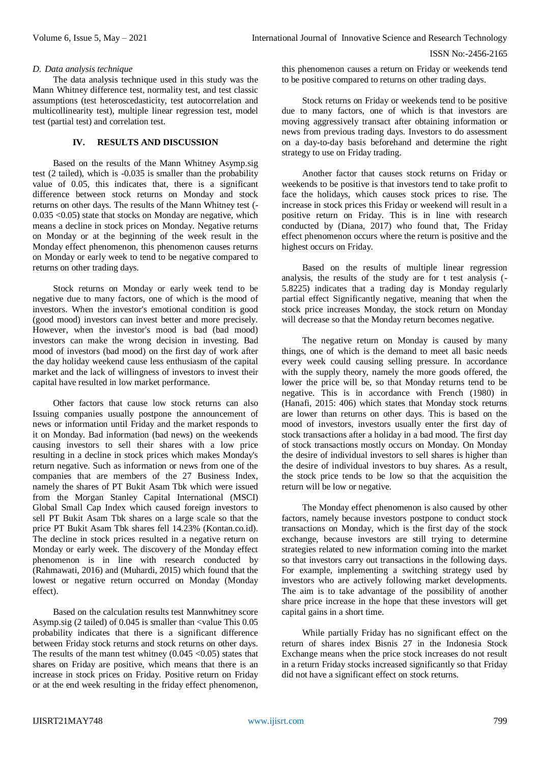### *D. Data analysis technique*

The data analysis technique used in this study was the Mann Whitney difference test, normality test, and test classic assumptions (test heteroscedasticity, test autocorrelation and multicollinearity test), multiple linear regression test, model test (partial test) and correlation test.

#### **IV. RESULTS AND DISCUSSION**

Based on the results of the Mann Whitney Asymp.sig test (2 tailed), which is -0.035 is smaller than the probability value of 0.05, this indicates that, there is a significant difference between stock returns on Monday and stock returns on other days. The results of the Mann Whitney test (- 0.035 <0.05) state that stocks on Monday are negative, which means a decline in stock prices on Monday. Negative returns on Monday or at the beginning of the week result in the Monday effect phenomenon, this phenomenon causes returns on Monday or early week to tend to be negative compared to returns on other trading days.

Stock returns on Monday or early week tend to be negative due to many factors, one of which is the mood of investors. When the investor's emotional condition is good (good mood) investors can invest better and more precisely. However, when the investor's mood is bad (bad mood) investors can make the wrong decision in investing. Bad mood of investors (bad mood) on the first day of work after the day holiday weekend cause less enthusiasm of the capital market and the lack of willingness of investors to invest their capital have resulted in low market performance.

Other factors that cause low stock returns can also Issuing companies usually postpone the announcement of news or information until Friday and the market responds to it on Monday. Bad information (bad news) on the weekends causing investors to sell their shares with a low price resulting in a decline in stock prices which makes Monday's return negative. Such as information or news from one of the companies that are members of the 27 Business Index, namely the shares of PT Bukit Asam Tbk which were issued from the Morgan Stanley Capital International (MSCI) Global Small Cap Index which caused foreign investors to sell PT Bukit Asam Tbk shares on a large scale so that the price PT Bukit Asam Tbk shares fell 14.23% (Kontan.co.id). The decline in stock prices resulted in a negative return on Monday or early week. The discovery of the Monday effect phenomenon is in line with research conducted by (Rahmawati, 2016) and (Muhardi, 2015) which found that the lowest or negative return occurred on Monday (Monday effect).

Based on the calculation results test Mannwhitney score Asymp.sig (2 tailed) of 0.045 is smaller than <value This 0.05 probability indicates that there is a significant difference between Friday stock returns and stock returns on other days. The results of the mann test whitney  $(0.045 \le 0.05)$  states that shares on Friday are positive, which means that there is an increase in stock prices on Friday. Positive return on Friday or at the end week resulting in the friday effect phenomenon,

this phenomenon causes a return on Friday or weekends tend to be positive compared to returns on other trading days.

Stock returns on Friday or weekends tend to be positive due to many factors, one of which is that investors are moving aggressively transact after obtaining information or news from previous trading days. Investors to do assessment on a day-to-day basis beforehand and determine the right strategy to use on Friday trading.

Another factor that causes stock returns on Friday or weekends to be positive is that investors tend to take profit to face the holidays, which causes stock prices to rise. The increase in stock prices this Friday or weekend will result in a positive return on Friday. This is in line with research conducted by (Diana, 2017) who found that, The Friday effect phenomenon occurs where the return is positive and the highest occurs on Friday.

Based on the results of multiple linear regression analysis, the results of the study are for t test analysis (- 5.8225) indicates that a trading day is Monday regularly partial effect Significantly negative, meaning that when the stock price increases Monday, the stock return on Monday will decrease so that the Monday return becomes negative.

The negative return on Monday is caused by many things, one of which is the demand to meet all basic needs every week could causing selling pressure. In accordance with the supply theory, namely the more goods offered, the lower the price will be, so that Monday returns tend to be negative. This is in accordance with French (1980) in (Hanafi, 2015: 406) which states that Monday stock returns are lower than returns on other days. This is based on the mood of investors, investors usually enter the first day of stock transactions after a holiday in a bad mood. The first day of stock transactions mostly occurs on Monday. On Monday the desire of individual investors to sell shares is higher than the desire of individual investors to buy shares. As a result, the stock price tends to be low so that the acquisition the return will be low or negative.

The Monday effect phenomenon is also caused by other factors, namely because investors postpone to conduct stock transactions on Monday, which is the first day of the stock exchange, because investors are still trying to determine strategies related to new information coming into the market so that investors carry out transactions in the following days. For example, implementing a switching strategy used by investors who are actively following market developments. The aim is to take advantage of the possibility of another share price increase in the hope that these investors will get capital gains in a short time.

While partially Friday has no significant effect on the return of shares index Bisnis 27 in the Indonesia Stock Exchange means when the price stock increases do not result in a return Friday stocks increased significantly so that Friday did not have a significant effect on stock returns.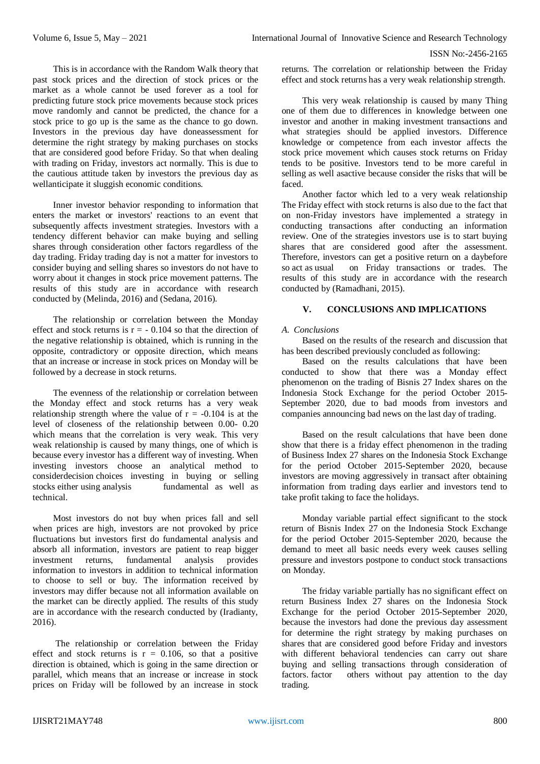This is in accordance with the Random Walk theory that past stock prices and the direction of stock prices or the market as a whole cannot be used forever as a tool for predicting future stock price movements because stock prices move randomly and cannot be predicted, the chance for a stock price to go up is the same as the chance to go down. Investors in the previous day have doneassessment for determine the right strategy by making purchases on stocks that are considered good before Friday. So that when dealing with trading on Friday, investors act normally. This is due to the cautious attitude taken by investors the previous day as wellanticipate it sluggish economic conditions.

Inner investor behavior responding to information that enters the market or investors' reactions to an event that subsequently affects investment strategies. Investors with a tendency different behavior can make buying and selling shares through consideration other factors regardless of the day trading. Friday trading day is not a matter for investors to consider buying and selling shares so investors do not have to worry about it changes in stock price movement patterns. The results of this study are in accordance with research conducted by (Melinda, 2016) and (Sedana, 2016).

The relationship or correlation between the Monday effect and stock returns is  $r = -0.104$  so that the direction of the negative relationship is obtained, which is running in the opposite, contradictory or opposite direction, which means that an increase or increase in stock prices on Monday will be followed by a decrease in stock returns.

The evenness of the relationship or correlation between the Monday effect and stock returns has a very weak relationship strength where the value of  $r = -0.104$  is at the level of closeness of the relationship between 0.00- 0.20 which means that the correlation is very weak. This very weak relationship is caused by many things, one of which is because every investor has a different way of investing. When investing investors choose an analytical method to considerdecision choices investing in buying or selling stocks either using analysis fundamental as well as technical.

Most investors do not buy when prices fall and sell when prices are high, investors are not provoked by price fluctuations but investors first do fundamental analysis and absorb all information, investors are patient to reap bigger investment returns, fundamental analysis provides information to investors in addition to technical information to choose to sell or buy. The information received by investors may differ because not all information available on the market can be directly applied. The results of this study are in accordance with the research conducted by (Iradianty, 2016).

The relationship or correlation between the Friday effect and stock returns is  $r = 0.106$ , so that a positive direction is obtained, which is going in the same direction or parallel, which means that an increase or increase in stock prices on Friday will be followed by an increase in stock

returns. The correlation or relationship between the Friday effect and stock returns has a very weak relationship strength.

This very weak relationship is caused by many Thing one of them due to differences in knowledge between one investor and another in making investment transactions and what strategies should be applied investors. Difference knowledge or competence from each investor affects the stock price movement which causes stock returns on Friday tends to be positive. Investors tend to be more careful in selling as well asactive because consider the risks that will be faced.

Another factor which led to a very weak relationship The Friday effect with stock returns is also due to the fact that on non-Friday investors have implemented a strategy in conducting transactions after conducting an information review. One of the strategies investors use is to start buying shares that are considered good after the assessment. Therefore, investors can get a positive return on a daybefore so act as usual on Friday transactions or trades. The results of this study are in accordance with the research conducted by (Ramadhani, 2015).

# **V. CONCLUSIONS AND IMPLICATIONS**

# *A. Conclusions*

Based on the results of the research and discussion that has been described previously concluded as following:

Based on the results calculations that have been conducted to show that there was a Monday effect phenomenon on the trading of Bisnis 27 Index shares on the Indonesia Stock Exchange for the period October 2015- September 2020, due to bad moods from investors and companies announcing bad news on the last day of trading.

Based on the result calculations that have been done show that there is a friday effect phenomenon in the trading of Business Index 27 shares on the Indonesia Stock Exchange for the period October 2015-September 2020, because investors are moving aggressively in transact after obtaining information from trading days earlier and investors tend to take profit taking to face the holidays.

Monday variable partial effect significant to the stock return of Bisnis Index 27 on the Indonesia Stock Exchange for the period October 2015-September 2020, because the demand to meet all basic needs every week causes selling pressure and investors postpone to conduct stock transactions on Monday.

The friday variable partially has no significant effect on return Business Index 27 shares on the Indonesia Stock Exchange for the period October 2015-September 2020, because the investors had done the previous day assessment for determine the right strategy by making purchases on shares that are considered good before Friday and investors with different behavioral tendencies can carry out share buying and selling transactions through consideration of factors. factor others without pay attention to the day trading.